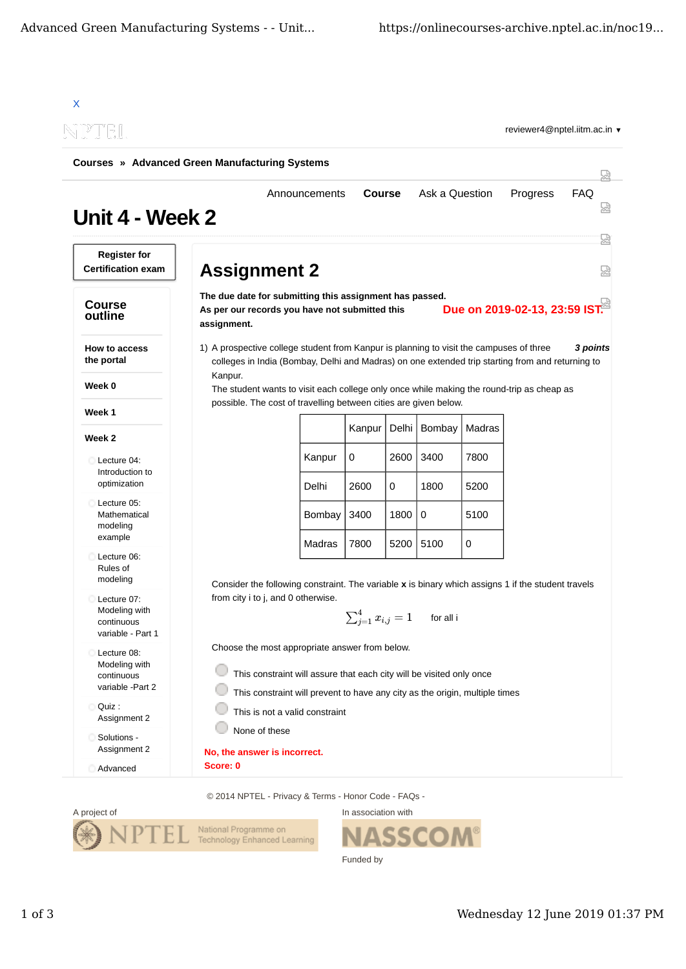| <b>Courses » Advanced Green Manufacturing Systems</b>           |                                                                                                                                                                                                       |                                                                                                                                                                                             |                            |           |                |              |                               |                 |  |
|-----------------------------------------------------------------|-------------------------------------------------------------------------------------------------------------------------------------------------------------------------------------------------------|---------------------------------------------------------------------------------------------------------------------------------------------------------------------------------------------|----------------------------|-----------|----------------|--------------|-------------------------------|-----------------|--|
| Unit 4 - Week 2                                                 |                                                                                                                                                                                                       | Announcements                                                                                                                                                                               | <b>Course</b>              |           | Ask a Question |              | Progress                      | <b>FAQ</b>      |  |
| <b>Register for</b><br><b>Certification exam</b>                | <b>Assignment 2</b>                                                                                                                                                                                   |                                                                                                                                                                                             |                            |           |                |              |                               |                 |  |
| <b>Course</b><br>outline                                        | assignment.                                                                                                                                                                                           | The due date for submitting this assignment has passed.<br>As per our records you have not submitted this                                                                                   |                            |           |                |              | Due on 2019-02-13, 23:59 IST. |                 |  |
| How to access<br>the portal                                     |                                                                                                                                                                                                       | 1) A prospective college student from Kanpur is planning to visit the campuses of three<br>colleges in India (Bombay, Delhi and Madras) on one extended trip starting from and returning to |                            |           |                |              |                               | <b>3 points</b> |  |
| Week 0                                                          | Kanpur.                                                                                                                                                                                               | The student wants to visit each college only once while making the round-trip as cheap as                                                                                                   |                            |           |                |              |                               |                 |  |
| Week 1                                                          |                                                                                                                                                                                                       | possible. The cost of travelling between cities are given below.                                                                                                                            |                            |           |                |              |                               |                 |  |
| Week 2                                                          |                                                                                                                                                                                                       |                                                                                                                                                                                             | Kanpur                     | Delhi     | Bombay         | Madras       |                               |                 |  |
| Lecture 04:<br>с<br>Introduction to<br>optimization             |                                                                                                                                                                                                       | Kanpur<br>Delhi                                                                                                                                                                             | 0<br>2600                  | 2600<br>0 | 3400<br>1800   | 7800<br>5200 |                               |                 |  |
| Lecture 05:<br>Mathematical<br>modeling                         |                                                                                                                                                                                                       | Bombay                                                                                                                                                                                      | 3400                       | 1800      | 0              | 5100         |                               |                 |  |
| example<br>Lecture 06:<br>Rules of<br>modeling                  |                                                                                                                                                                                                       | Madras                                                                                                                                                                                      | 7800                       | 5200      | 5100           | $\pmb{0}$    |                               |                 |  |
| Lecture 07:<br>Modeling with<br>continuous<br>variable - Part 1 |                                                                                                                                                                                                       | Consider the following constraint. The variable x is binary which assigns 1 if the student travels<br>from city i to j, and 0 otherwise                                                     | $\sum_{j=1}^4 x_{i,j} = 1$ |           | for all i      |              |                               |                 |  |
| Lecture 08:<br>Modeling with<br>continuous<br>variable -Part 2  | Choose the most appropriate answer from below.<br>This constraint will assure that each city will be visited only once<br>This constraint will prevent to have any city as the origin, multiple times |                                                                                                                                                                                             |                            |           |                |              |                               |                 |  |
| Quiz:<br>Assignment 2                                           | This is not a valid constraint                                                                                                                                                                        |                                                                                                                                                                                             |                            |           |                |              |                               |                 |  |
| Solutions -<br>Assignment 2                                     | None of these                                                                                                                                                                                         | No, the answer is incorrect.                                                                                                                                                                |                            |           |                |              |                               |                 |  |
|                                                                 |                                                                                                                                                                                                       |                                                                                                                                                                                             |                            |           |                |              |                               |                 |  |



In association with **NASSCOM®** h Funded by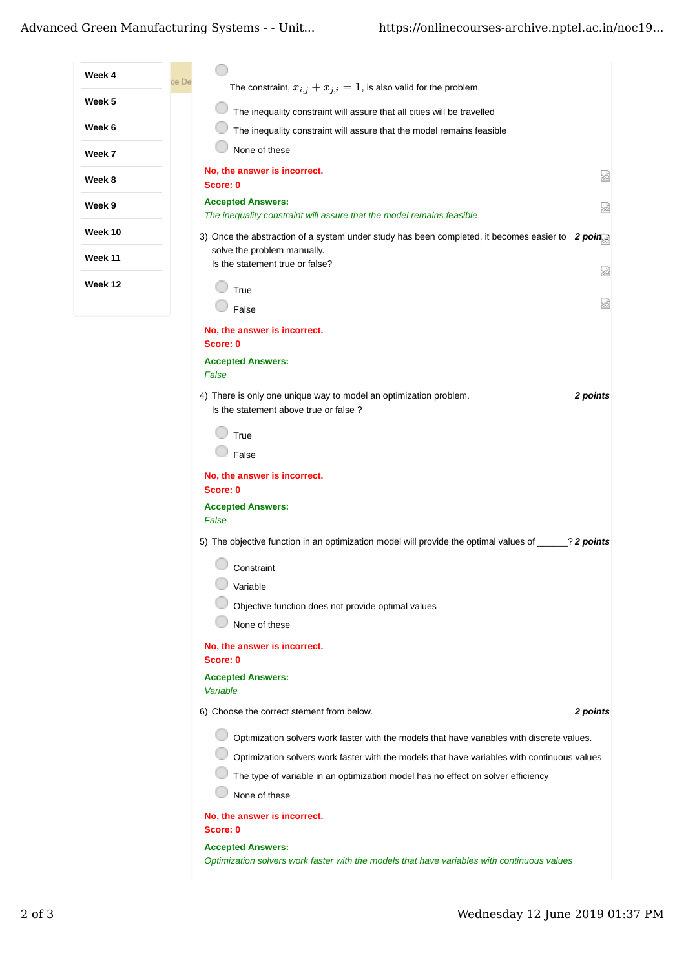| Week 4  | ce De |                                                                                                                         |  |
|---------|-------|-------------------------------------------------------------------------------------------------------------------------|--|
| Week 5  |       | The constraint, $x_{i,j} + x_{j,i} = 1$ , is also valid for the problem.                                                |  |
|         |       | The inequality constraint will assure that all cities will be travelled                                                 |  |
| Week 6  |       | The inequality constraint will assure that the model remains feasible                                                   |  |
| Week 7  |       | None of these                                                                                                           |  |
| Week 8  |       | No, the answer is incorrect.<br>닯<br>Score: 0                                                                           |  |
| Week 9  |       | <b>Accepted Answers:</b><br>썮<br>The inequality constraint will assure that the model remains feasible                  |  |
| Week 10 |       | 3) Once the abstraction of a system under study has been completed, it becomes easier to $2$ points                     |  |
| Week 11 |       | solve the problem manually.<br>Is the statement true or false?                                                          |  |
| Week 12 |       | Ы                                                                                                                       |  |
|         |       | True<br>덣<br>False                                                                                                      |  |
|         |       | No, the answer is incorrect.                                                                                            |  |
|         |       | Score: 0                                                                                                                |  |
|         |       | <b>Accepted Answers:</b>                                                                                                |  |
|         |       | False                                                                                                                   |  |
|         |       | 2 points<br>4) There is only one unique way to model an optimization problem.<br>Is the statement above true or false ? |  |
|         |       | True                                                                                                                    |  |
|         |       | False                                                                                                                   |  |
|         |       | No, the answer is incorrect.<br>Score: 0                                                                                |  |
|         |       | <b>Accepted Answers:</b><br>False                                                                                       |  |
|         |       | 5) The objective function in an optimization model will provide the optimal values of ______? 2 points                  |  |
|         |       | Constraint                                                                                                              |  |
|         |       | Variable                                                                                                                |  |
|         |       | Objective function does not provide optimal values                                                                      |  |
|         |       | None of these                                                                                                           |  |
|         |       | No, the answer is incorrect.<br>Score: 0                                                                                |  |
|         |       | <b>Accepted Answers:</b><br>Variable                                                                                    |  |
|         |       | 2 points<br>6) Choose the correct stement from below.                                                                   |  |
|         |       | Optimization solvers work faster with the models that have variables with discrete values.                              |  |
|         |       | Optimization solvers work faster with the models that have variables with continuous values                             |  |
|         |       | The type of variable in an optimization model has no effect on solver efficiency                                        |  |
|         |       | None of these                                                                                                           |  |
|         |       | No, the answer is incorrect.<br>Score: 0                                                                                |  |
|         |       | <b>Accepted Answers:</b><br>Optimization solvers work faster with the models that have variables with continuous values |  |
|         |       |                                                                                                                         |  |